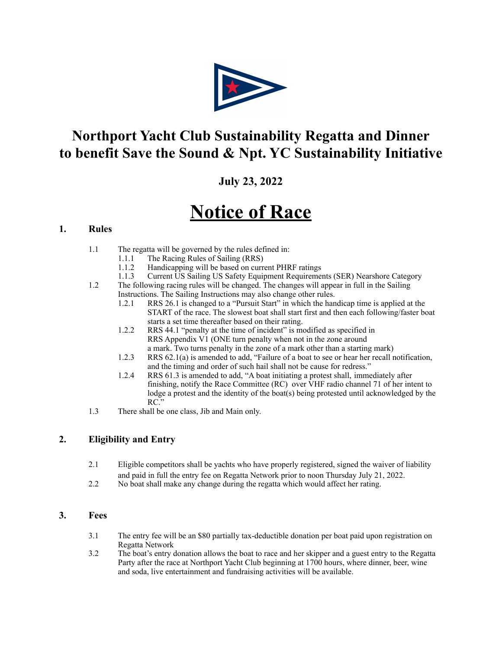

# **Northport Yacht Club Sustainability Regatta and Dinner to benefit Save the Sound & Npt. YC Sustainability Initiative**

# **July 23, 2022**

# **Notice of Race**

# **1. Rules**

- 1.1 The regatta will be governed by the rules defined in:
	- 1.1.1 The Racing Rules of Sailing (RRS)
	- 1.1.2 Handicapping will be based on current PHRF ratings
	- 1.1.3 Current US Sailing US Safety Equipment Requirements (SER) Nearshore Category
- 1.2 The following racing rules will be changed. The changes will appear in full in the Sailing Instructions. The Sailing Instructions may also change other rules.
	- 1.2.1 RRS 26.1 is changed to a "Pursuit Start" in which the handicap time is applied at the START of the race. The slowest boat shall start first and then each following/faster boat starts a set time thereafter based on their rating.
	- 1.2.2 RRS 44.1 "penalty at the time of incident" is modified as specified in RRS Appendix V1 (ONE turn penalty when not in the zone around a mark. Two turns penalty in the zone of a mark other than a starting mark)
	- 1.2.3 RRS 62.1(a) is amended to add, "Failure of a boat to see or hear her recall notification, and the timing and order of such hail shall not be cause for redress."
	- 1.2.4 RRS 61.3 is amended to add, "A boat initiating a protest shall, immediately after finishing, notify the Race Committee (RC) over VHF radio channel 71 of her intent to lodge a protest and the identity of the boat(s) being protested until acknowledged by the RC."
- 1.3 There shall be one class, Jib and Main only.

# **2. Eligibility and Entry**

- 2.1 Eligible competitors shall be yachts who have properly registered, signed the waiver of liability and paid in full the entry fee on Regatta Network prior to noon Thursday July 21, 2022.
- 2.2 No boat shall make any change during the regatta which would affect her rating.

# **3. Fees**

- 3.1 The entry fee will be an \$80 partially tax-deductible donation per boat paid upon registration on Regatta Network
- 3.2 The boat's entry donation allows the boat to race and her skipper and a guest entry to the Regatta Party after the race at Northport Yacht Club beginning at 1700 hours, where dinner, beer, wine and soda, live entertainment and fundraising activities will be available.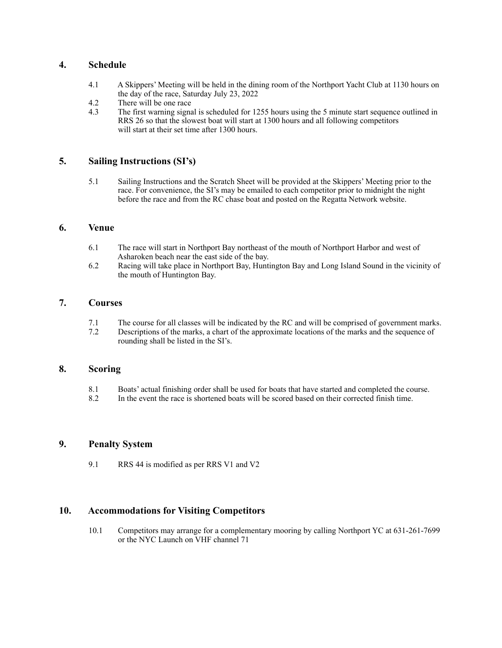# **4. Schedule**

- 4.1 A Skippers' Meeting will be held in the dining room of the Northport Yacht Club at 1130 hours on the day of the race, Saturday July 23, 2022
- 4.2 There will be one race
- 4.3 The first warning signal is scheduled for 1255 hours using the 5 minute start sequence outlined in RRS 26 so that the slowest boat will start at 1300 hours and all following competitors will start at their set time after 1300 hours.

# **5. Sailing Instructions (SI's)**

 5.1 Sailing Instructions and the Scratch Sheet will be provided at the Skippers' Meeting prior to the race. For convenience, the SI's may be emailed to each competitor prior to midnight the night before the race and from the RC chase boat and posted on the Regatta Network website.

# **6. Venue**

- 6.1 The race will start in Northport Bay northeast of the mouth of Northport Harbor and west of Asharoken beach near the east side of the bay.<br>6.2 Racing will take place in Northport Bay. Hunt
- Racing will take place in Northport Bay, Huntington Bay and Long Island Sound in the vicinity of the mouth of Huntington Bay.

# **7. Courses**

- 7.1 The course for all classes will be indicated by the RC and will be comprised of government marks.<br>7.2 Descriptions of the marks, a chart of the approximate locations of the marks and the sequence of
- Descriptions of the marks, a chart of the approximate locations of the marks and the sequence of rounding shall be listed in the SI's.

# **8. Scoring**

- 8.1 Boats' actual finishing order shall be used for boats that have started and completed the course.<br>8.2 In the event the race is shortened boats will be scored based on their corrected finish time.
- In the event the race is shortened boats will be scored based on their corrected finish time.

# **9. Penalty System**

9.1 RRS 44 is modified as per RRS V1 and V2

# **10. Accommodations for Visiting Competitors**

 10.1 Competitors may arrange for a complementary mooring by calling Northport YC at 631-261-7699 or the NYC Launch on VHF channel 71